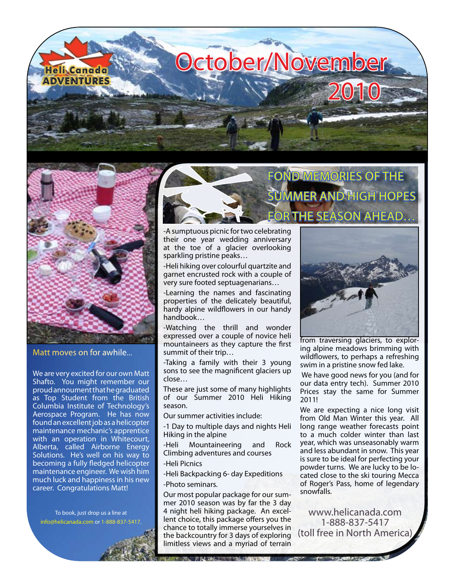



Matt moves on for awhile...

We are very excited for our own Matt Shafto. You might remember our proud annoument that he graduated as Top Student from the British Columbia Institute of Technology's Aerospace Program. He has now found an excellent job as a helicopter maintenance mechanic's apprentice with an operation in Whitecourt, Alberta, called Airborne Energy Solutions. He's well on his way to becoming a fully fledged helicopter maintenance engineer. We wish him much luck and happiness in his new career. Congratulations Matt!

To book, just drop us a line at [info@helicanada.com](mailto:info@helicanada.com) or 1-888-837-5417.

# FOND MEMORIES OF THE **MMER AND HIGH HOPES** R THE SEASON AHEAD $\dots$

-A sumptuous picnic for two celebrating their one year wedding anniversary at the toe of a glacier overlooking sparkling pristine peaks…

-Heli hiking over colourful quartzite and garnet encrusted rock with a couple of very sure footed septuagenarians…

-Learning the names and fascinating properties of the delicately beautiful, hardy alpine wildflowers in our handy handbook…

-Watching the thrill and wonder expressed over a couple of novice heli mountaineers as they capture the first summit of their trip…

-Taking a family with their 3 young sons to see the magnificent glaciers up close…

These are just some of many highlights of our Summer 2010 Heli Hiking season.

Our summer activities include:

-1 Day to multiple days and nights Heli Hiking in the alpine

-Heli Mountaineering and Rock Climbing adventures and courses -Heli Picnics

-Heli Backpacking 6- day Expeditions

-Photo seminars.

Our most popular package for our summer 2010 season was by far the 3 day 4 night heli hiking package. An excellent choice, this package offers you the chance to totally immerse yourselves in the backcountry for 3 days of exploring limitless views and a myriad of terrain

THE TWO MENTS IN PROVIDED TO A CO



from traversing glaciers, to exploring alpine meadows brimming with wildflowers, to perhaps a refreshing swim in a pristine snow fed lake.

 We have good news for you (and for our data entry tech). Summer 2010 Prices stay the same for Summer 2011!

We are expecting a nice long visit from Old Man Winter this year. All long range weather forecasts point to a much colder winter than last year, which was unseasonably warm and less abundant in snow. This year is sure to be ideal for perfecting your powder turns. We are lucky to be located close to the ski touring Mecca of Roger's Pass, home of legendary snowfalls.

[www.helicanada.com](http://www.helicanada.com) 1-888-837-5417 (toll free in North America)